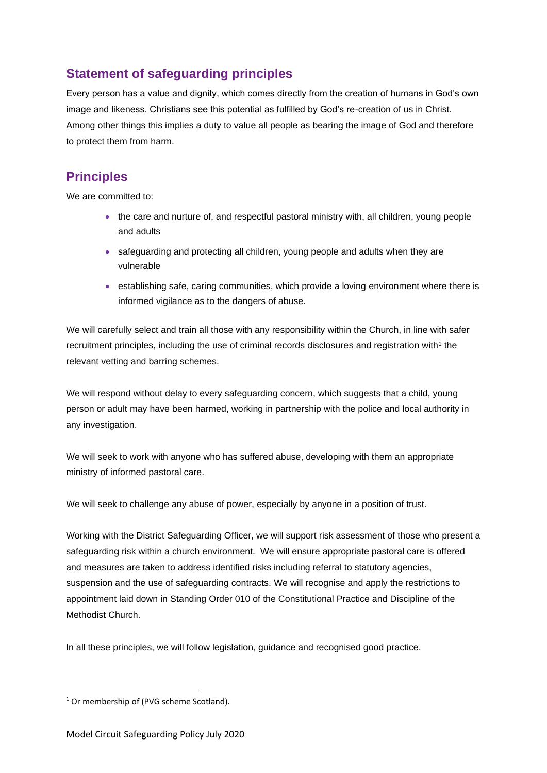# **Statement of safeguarding principles**

Every person has a value and dignity, which comes directly from the creation of humans in God's own image and likeness. Christians see this potential as fulfilled by God's re-creation of us in Christ. Among other things this implies a duty to value all people as bearing the image of God and therefore to protect them from harm.

## **Principles**

We are committed to:

- the care and nurture of, and respectful pastoral ministry with, all children, young people and adults
- safeguarding and protecting all children, young people and adults when they are vulnerable
- establishing safe, caring communities, which provide a loving environment where there is informed vigilance as to the dangers of abuse.

We will carefully select and train all those with any responsibility within the Church, in line with safer recruitment principles, including the use of criminal records disclosures and registration with<sup>1</sup> the relevant vetting and barring schemes.

We will respond without delay to every safeguarding concern, which suggests that a child, young person or adult may have been harmed, working in partnership with the police and local authority in any investigation.

We will seek to work with anyone who has suffered abuse, developing with them an appropriate ministry of informed pastoral care.

We will seek to challenge any abuse of power, especially by anyone in a position of trust.

Working with the District Safeguarding Officer, we will support risk assessment of those who present a safeguarding risk within a church environment. We will ensure appropriate pastoral care is offered and measures are taken to address identified risks including referral to statutory agencies, suspension and the use of safeguarding contracts. We will recognise and apply the restrictions to appointment laid down in Standing Order 010 of the Constitutional Practice and Discipline of the Methodist Church.

In all these principles, we will follow legislation, guidance and recognised good practice.

<sup>&</sup>lt;sup>1</sup> Or membership of (PVG scheme Scotland).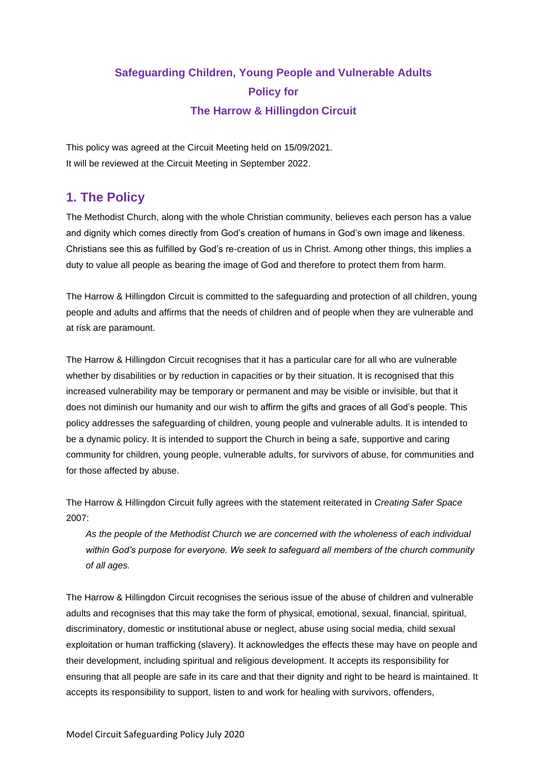# **Safeguarding Children, Young People and Vulnerable Adults Policy for The Harrow & Hillingdon Circuit**

This policy was agreed at the Circuit Meeting held on 15/09/2021. It will be reviewed at the Circuit Meeting in September 2022.

## **1. The Policy**

The Methodist Church, along with the whole Christian community, believes each person has a value and dignity which comes directly from God's creation of humans in God's own image and likeness. Christians see this as fulfilled by God's re-creation of us in Christ. Among other things, this implies a duty to value all people as bearing the image of God and therefore to protect them from harm.

The Harrow & Hillingdon Circuit is committed to the safeguarding and protection of all children, young people and adults and affirms that the needs of children and of people when they are vulnerable and at risk are paramount.

The Harrow & Hillingdon Circuit recognises that it has a particular care for all who are vulnerable whether by disabilities or by reduction in capacities or by their situation. It is recognised that this increased vulnerability may be temporary or permanent and may be visible or invisible, but that it does not diminish our humanity and our wish to affirm the gifts and graces of all God's people. This policy addresses the safeguarding of children, young people and vulnerable adults. It is intended to be a dynamic policy. It is intended to support the Church in being a safe, supportive and caring community for children, young people, vulnerable adults, for survivors of abuse, for communities and for those affected by abuse.

The Harrow & Hillingdon Circuit fully agrees with the statement reiterated in *Creating Safer Space*  2007:

*As the people of the Methodist Church we are concerned with the wholeness of each individual within God's purpose for everyone. We seek to safeguard all members of the church community of all ages.* 

The Harrow & Hillingdon Circuit recognises the serious issue of the abuse of children and vulnerable adults and recognises that this may take the form of physical, emotional, sexual, financial, spiritual, discriminatory, domestic or institutional abuse or neglect, abuse using social media, child sexual exploitation or human trafficking (slavery). It acknowledges the effects these may have on people and their development, including spiritual and religious development. It accepts its responsibility for ensuring that all people are safe in its care and that their dignity and right to be heard is maintained. It accepts its responsibility to support, listen to and work for healing with survivors, offenders,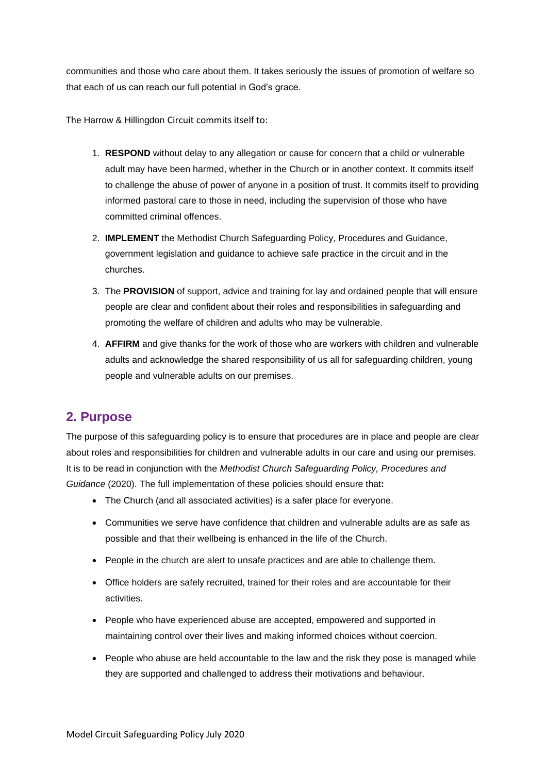communities and those who care about them. It takes seriously the issues of promotion of welfare so that each of us can reach our full potential in God's grace.

The Harrow & Hillingdon Circuit commits itself to:

- 1. **RESPOND** without delay to any allegation or cause for concern that a child or vulnerable adult may have been harmed, whether in the Church or in another context. It commits itself to challenge the abuse of power of anyone in a position of trust. It commits itself to providing informed pastoral care to those in need, including the supervision of those who have committed criminal offences.
- 2. **IMPLEMENT** the Methodist Church Safeguarding Policy, Procedures and Guidance, government legislation and guidance to achieve safe practice in the circuit and in the churches.
- 3. The **PROVISION** of support, advice and training for lay and ordained people that will ensure people are clear and confident about their roles and responsibilities in safeguarding and promoting the welfare of children and adults who may be vulnerable.
- 4. **AFFIRM** and give thanks for the work of those who are workers with children and vulnerable adults and acknowledge the shared responsibility of us all for safeguarding children, young people and vulnerable adults on our premises.

### **2. Purpose**

The purpose of this safeguarding policy is to ensure that procedures are in place and people are clear about roles and responsibilities for children and vulnerable adults in our care and using our premises. It is to be read in conjunction with the *Methodist Church Safeguarding Policy, Procedures and Guidance* (2020). The full implementation of these policies should ensure that**:**

- The Church (and all associated activities) is a safer place for everyone.
- Communities we serve have confidence that children and vulnerable adults are as safe as possible and that their wellbeing is enhanced in the life of the Church.
- People in the church are alert to unsafe practices and are able to challenge them.
- Office holders are safely recruited, trained for their roles and are accountable for their activities.
- People who have experienced abuse are accepted, empowered and supported in maintaining control over their lives and making informed choices without coercion.
- People who abuse are held accountable to the law and the risk they pose is managed while they are supported and challenged to address their motivations and behaviour.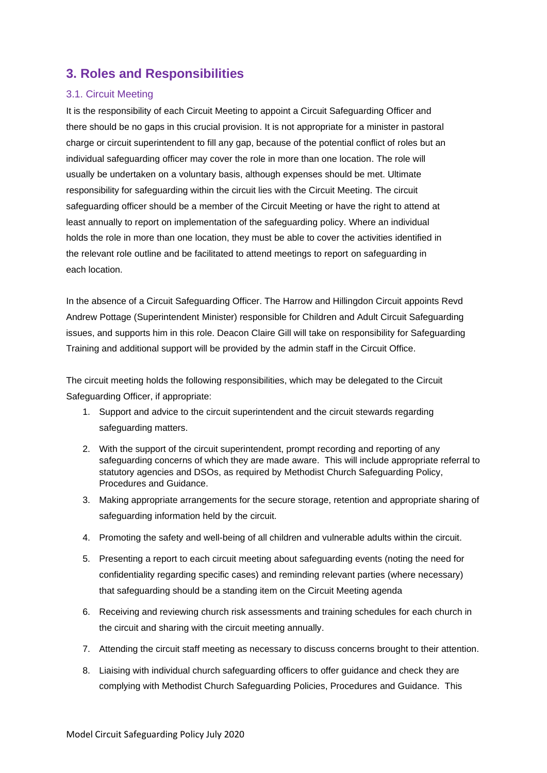### **3. Roles and Responsibilities**

#### 3.1. Circuit Meeting

It is the responsibility of each Circuit Meeting to appoint a Circuit Safeguarding Officer and there should be no gaps in this crucial provision. It is not appropriate for a minister in pastoral charge or circuit superintendent to fill any gap, because of the potential conflict of roles but an individual safeguarding officer may cover the role in more than one location. The role will usually be undertaken on a voluntary basis, although expenses should be met. Ultimate responsibility for safeguarding within the circuit lies with the Circuit Meeting. The circuit safeguarding officer should be a member of the Circuit Meeting or have the right to attend at least annually to report on implementation of the safeguarding policy. Where an individual holds the role in more than one location, they must be able to cover the activities identified in the relevant role outline and be facilitated to attend meetings to report on safeguarding in each location.

In the absence of a Circuit Safeguarding Officer. The Harrow and Hillingdon Circuit appoints Revd Andrew Pottage (Superintendent Minister) responsible for Children and Adult Circuit Safeguarding issues, and supports him in this role. Deacon Claire Gill will take on responsibility for Safeguarding Training and additional support will be provided by the admin staff in the Circuit Office.

The circuit meeting holds the following responsibilities, which may be delegated to the Circuit Safeguarding Officer, if appropriate:

- 1. Support and advice to the circuit superintendent and the circuit stewards regarding safeguarding matters.
- 2. With the support of the circuit superintendent, prompt recording and reporting of any safeguarding concerns of which they are made aware. This will include appropriate referral to statutory agencies and DSOs, as required by Methodist Church Safeguarding Policy, Procedures and Guidance.
- 3. Making appropriate arrangements for the secure storage, retention and appropriate sharing of safeguarding information held by the circuit.
- 4. Promoting the safety and well-being of all children and vulnerable adults within the circuit.
- 5. Presenting a report to each circuit meeting about safeguarding events (noting the need for confidentiality regarding specific cases) and reminding relevant parties (where necessary) that safeguarding should be a standing item on the Circuit Meeting agenda
- 6. Receiving and reviewing church risk assessments and training schedules for each church in the circuit and sharing with the circuit meeting annually.
- 7. Attending the circuit staff meeting as necessary to discuss concerns brought to their attention.
- 8. Liaising with individual church safeguarding officers to offer guidance and check they are complying with Methodist Church Safeguarding Policies, Procedures and Guidance. This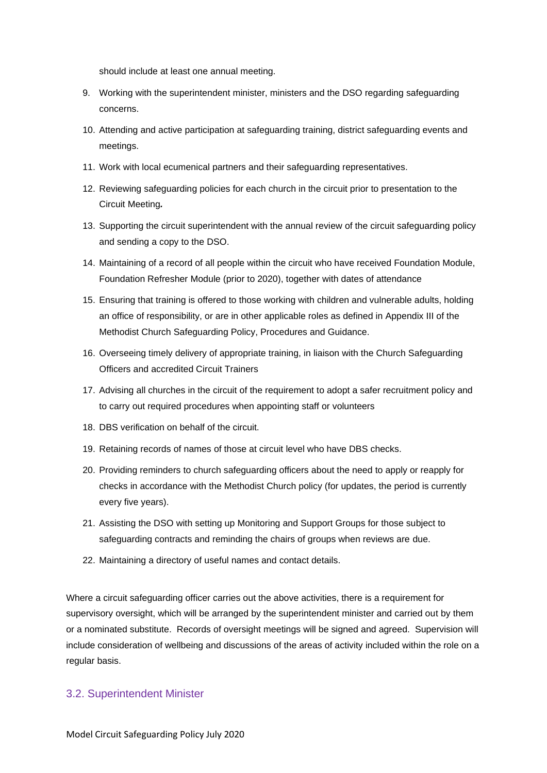should include at least one annual meeting.

- 9. Working with the superintendent minister, ministers and the DSO regarding safeguarding concerns.
- 10. Attending and active participation at safeguarding training, district safeguarding events and meetings.
- 11. Work with local ecumenical partners and their safeguarding representatives.
- 12. Reviewing safeguarding policies for each church in the circuit prior to presentation to the Circuit Meeting*.*
- 13. Supporting the circuit superintendent with the annual review of the circuit safeguarding policy and sending a copy to the DSO.
- 14. Maintaining of a record of all people within the circuit who have received Foundation Module, Foundation Refresher Module (prior to 2020), together with dates of attendance
- 15. Ensuring that training is offered to those working with children and vulnerable adults, holding an office of responsibility, or are in other applicable roles as defined in Appendix III of the Methodist Church Safeguarding Policy, Procedures and Guidance.
- 16. Overseeing timely delivery of appropriate training, in liaison with the Church Safeguarding Officers and accredited Circuit Trainers
- 17. Advising all churches in the circuit of the requirement to adopt a safer recruitment policy and to carry out required procedures when appointing staff or volunteers
- 18. DBS verification on behalf of the circuit.
- 19. Retaining records of names of those at circuit level who have DBS checks.
- 20. Providing reminders to church safeguarding officers about the need to apply or reapply for checks in accordance with the Methodist Church policy (for updates, the period is currently every five years).
- 21. Assisting the DSO with setting up Monitoring and Support Groups for those subject to safeguarding contracts and reminding the chairs of groups when reviews are due.
- 22. Maintaining a directory of useful names and contact details.

Where a circuit safeguarding officer carries out the above activities, there is a requirement for supervisory oversight, which will be arranged by the superintendent minister and carried out by them or a nominated substitute. Records of oversight meetings will be signed and agreed. Supervision will include consideration of wellbeing and discussions of the areas of activity included within the role on a regular basis.

#### 3.2. Superintendent Minister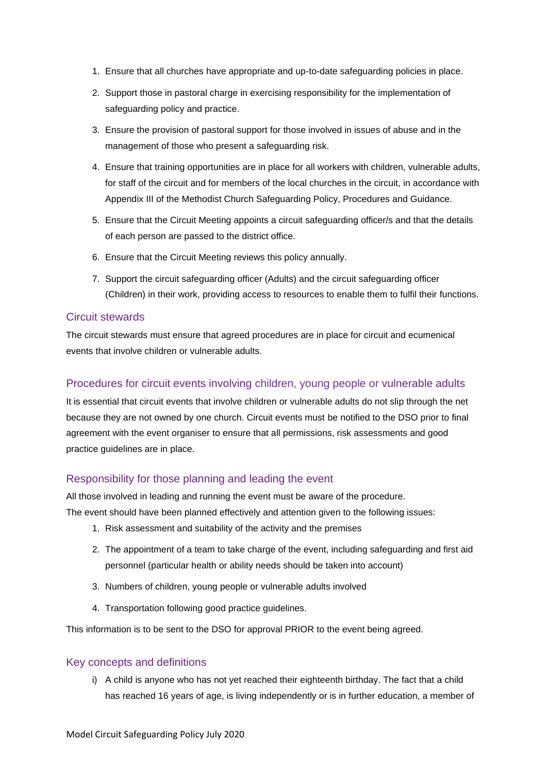- 1. Ensure that all churches have appropriate and up-to-date safeguarding policies in place.
- 2. Support those in pastoral charge in exercising responsibility for the implementation of safeguarding policy and practice.
- 3. Ensure the provision of pastoral support for those involved in issues of abuse and in the management of those who present a safeguarding risk.
- 4. Ensure that training opportunities are in place for all workers with children, vulnerable adults, for staff of the circuit and for members of the local churches in the circuit, in accordance with Appendix III of the Methodist Church Safeguarding Policy, Procedures and Guidance.
- 5. Ensure that the Circuit Meeting appoints a circuit safeguarding officer/s and that the details of each person are passed to the district office.
- 6. Ensure that the Circuit Meeting reviews this policy annually.
- 7. Support the circuit safeguarding officer (Adults) and the circuit safeguarding officer (Children) in their work, providing access to resources to enable them to fulfil their functions.

#### Circuit stewards

The circuit stewards must ensure that agreed procedures are in place for circuit and ecumenical events that involve children or vulnerable adults.

#### Procedures for circuit events involving children, young people or vulnerable adults

It is essential that circuit events that involve children or vulnerable adults do not slip through the net because they are not owned by one church. Circuit events must be notified to the DSO prior to final agreement with the event organiser to ensure that all permissions, risk assessments and good practice guidelines are in place.

#### Responsibility for those planning and leading the event

All those involved in leading and running the event must be aware of the procedure.

The event should have been planned effectively and attention given to the following issues:

- 1. Risk assessment and suitability of the activity and the premises
- 2. The appointment of a team to take charge of the event, including safeguarding and first aid personnel (particular health or ability needs should be taken into account)
- 3. Numbers of children, young people or vulnerable adults involved
- 4. Transportation following good practice guidelines.

This information is to be sent to the DSO for approval PRIOR to the event being agreed.

#### Key concepts and definitions

i) A child is anyone who has not yet reached their eighteenth birthday. The fact that a child has reached 16 years of age, is living independently or is in further education, a member of